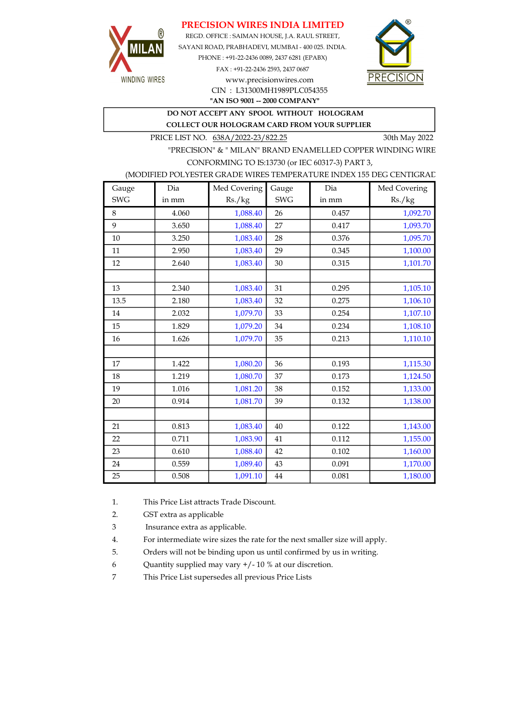## PRECISION WIRES INDIA LIMITED



REGD. OFFICE : SAIMAN HOUSE, J.A. RAUL STREET, SAYANI ROAD, PRABHADEVI, MUMBAI - 400 025. INDIA. PHONE : +91-22-2436 0089, 2437 6281 (EPABX) FAX : +91-22-2436 2593, 2437 0687 www.precisionwires.com



"AN ISO 9001 -- 2000 COMPANY" CIN : L31300MH1989PLC054355

DO NOT ACCEPT ANY SPOOL WITHOUT HOLOGRAM

COLLECT OUR HOLOGRAM CARD FROM YOUR SUPPLIER

PRICE LIST NO. 638A/2022-23/822.25 30th May 2022

"PRECISION" & " MILAN" BRAND ENAMELLED COPPER WINDING WIRE CONFORMING TO IS:13730 (or IEC 60317-3) PART 3,

### (MODIFIED POLYESTER GRADE WIRES TEMPERATURE INDEX 155 DEG CENTIGRAD

| Gauge      | Dia   | Med Covering | Gauge      | Dia   | Med Covering |
|------------|-------|--------------|------------|-------|--------------|
| <b>SWG</b> | in mm | Rs./kg       | <b>SWG</b> | in mm | Rs./kg       |
| 8          | 4.060 | 1,088.40     | 26         | 0.457 | 1,092.70     |
| 9          | 3.650 | 1,088.40     | 27         | 0.417 | 1,093.70     |
| 10         | 3.250 | 1,083.40     | 28         | 0.376 | 1,095.70     |
| 11         | 2.950 | 1,083.40     | 29         | 0.345 | 1,100.00     |
| 12         | 2.640 | 1,083.40     | 30         | 0.315 | 1,101.70     |
|            |       |              |            |       |              |
| 13         | 2.340 | 1,083.40     | 31         | 0.295 | 1,105.10     |
| 13.5       | 2.180 | 1,083.40     | 32         | 0.275 | 1,106.10     |
| 14         | 2.032 | 1,079.70     | 33         | 0.254 | 1,107.10     |
| 15         | 1.829 | 1,079.20     | 34         | 0.234 | 1,108.10     |
| 16         | 1.626 | 1,079.70     | 35         | 0.213 | 1,110.10     |
|            |       |              |            |       |              |
| 17         | 1.422 | 1,080.20     | 36         | 0.193 | 1,115.30     |
| 18         | 1.219 | 1,080.70     | 37         | 0.173 | 1,124.50     |
| 19         | 1.016 | 1,081.20     | 38         | 0.152 | 1,133.00     |
| 20         | 0.914 | 1,081.70     | 39         | 0.132 | 1,138.00     |
|            |       |              |            |       |              |
| 21         | 0.813 | 1,083.40     | 40         | 0.122 | 1,143.00     |
| 22         | 0.711 | 1,083.90     | 41         | 0.112 | 1,155.00     |
| 23         | 0.610 | 1,088.40     | 42         | 0.102 | 1,160.00     |
| 24         | 0.559 | 1,089.40     | 43         | 0.091 | 1,170.00     |
| 25         | 0.508 | 1,091.10     | 44         | 0.081 | 1,180.00     |

1. This Price List attracts Trade Discount.

2. GST extra as applicable

3 Insurance extra as applicable.

4. For intermediate wire sizes the rate for the next smaller size will apply.

5. Orders will not be binding upon us until confirmed by us in writing.

6 Quantity supplied may vary +/- 10 % at our discretion.

7 This Price List supersedes all previous Price Lists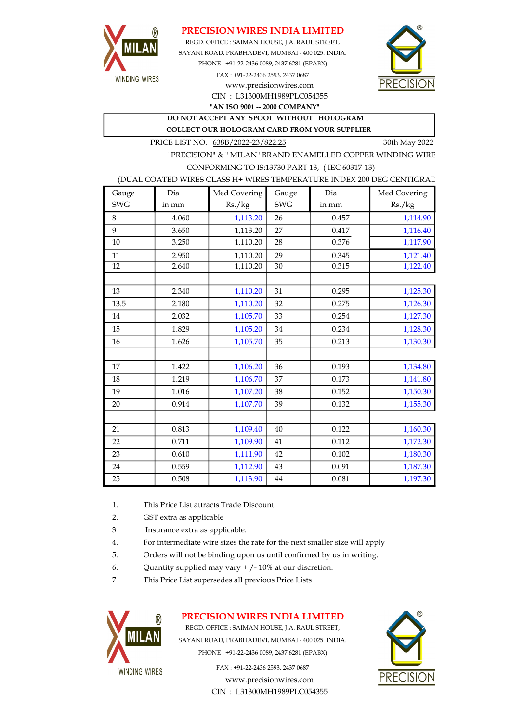

## PRECISION WIRES INDIA LIMITED

SAYANI ROAD, PRABHADEVI, MUMBAI - 400 025. INDIA. PHONE : +91-22-2436 0089, 2437 6281 (EPABX) FAX : +91-22-2436 2593, 2437 0687 www.precisionwires.com REGD. OFFICE : SAIMAN HOUSE, J.A. RAUL STREET,



CIN : L31300MH1989PLC054355 "AN ISO 9001 -- 2000 COMPANY"

DO NOT ACCEPT ANY SPOOL WITHOUT HOLOGRAM COLLECT OUR HOLOGRAM CARD FROM YOUR SUPPLIER

PRICE LIST NO.  $638B/2022-23/822.25$  30th May 2022

"PRECISION" & " MILAN" BRAND ENAMELLED COPPER WINDING WIRE CONFORMING TO IS:13730 PART 13, ( IEC 60317-13)

#### (DUAL COATED WIRES CLASS H+ WIRES TEMPERATURE INDEX 200 DEG CENTIGRAD

| Gauge      | Dia   | Med Covering | Gauge      | Dia   | Med Covering |
|------------|-------|--------------|------------|-------|--------------|
| <b>SWG</b> | in mm | Rs./kg       | <b>SWG</b> | in mm | Rs./kg       |
| 8          | 4.060 | 1,113.20     | 26         | 0.457 | 1,114.90     |
| 9          | 3.650 | 1,113.20     | 27         | 0.417 | 1,116.40     |
| 10         | 3.250 | 1,110.20     | 28         | 0.376 | 1,117.90     |
| 11         | 2.950 | 1,110.20     | 29         | 0.345 | 1,121.40     |
| 12         | 2.640 | 1,110.20     | 30         | 0.315 | 1,122.40     |
|            |       |              |            |       |              |
| 13         | 2.340 | 1,110.20     | 31         | 0.295 | 1,125.30     |
| 13.5       | 2.180 | 1,110.20     | 32         | 0.275 | 1,126.30     |
| 14         | 2.032 | 1,105.70     | 33         | 0.254 | 1,127.30     |
| 15         | 1.829 | 1,105.20     | 34         | 0.234 | 1,128.30     |
| 16         | 1.626 | 1,105.70     | 35         | 0.213 | 1,130.30     |
|            |       |              |            |       |              |
| 17         | 1.422 | 1,106.20     | 36         | 0.193 | 1,134.80     |
| 18         | 1.219 | 1,106.70     | 37         | 0.173 | 1,141.80     |
| 19         | 1.016 | 1,107.20     | 38         | 0.152 | 1,150.30     |
| 20         | 0.914 | 1,107.70     | 39         | 0.132 | 1,155.30     |
|            |       |              |            |       |              |
| 21         | 0.813 | 1,109.40     | 40         | 0.122 | 1,160.30     |
| 22         | 0.711 | 1,109.90     | 41         | 0.112 | 1,172.30     |
| 23         | 0.610 | 1,111.90     | 42         | 0.102 | 1,180.30     |
| 24         | 0.559 | 1,112.90     | 43         | 0.091 | 1,187.30     |
| 25         | 0.508 | 1,113.90     | $\bf 44$   | 0.081 | 1,197.30     |

- 1. This Price List attracts Trade Discount.
- 2. GST extra as applicable
- 3 Insurance extra as applicable.
- 4. For intermediate wire sizes the rate for the next smaller size will apply
- 5. Orders will not be binding upon us until confirmed by us in writing.
- 6. Quantity supplied may vary  $+/-10\%$  at our discretion.
- 7 This Price List supersedes all previous Price Lists



## PRECISION WIRES INDIA LIMITED

REGD. OFFICE : SAIMAN HOUSE, J.A. RAUL STREET, SAYANI ROAD, PRABHADEVI, MUMBAI - 400 025. INDIA. PHONE : +91-22-2436 0089, 2437 6281 (EPABX)

> FAX : +91-22-2436 2593, 2437 0687 www.precisionwires.com CIN : L31300MH1989PLC054355